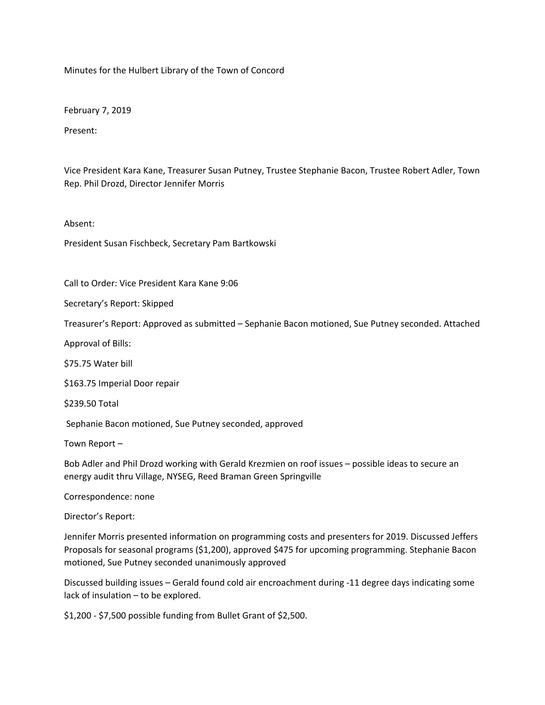Minutes for the Hulbert Library of the Town of Concord

February 7, 2019

Present:

Vice President Kara Kane, Treasurer Susan Putney, Trustee Stephanie Bacon, Trustee Robert Adler, Town Rep. Phil Drozd, Director Jennifer Morris

Absent:

President Susan Fischbeck, Secretary Pam Bartkowski

Call to Order: Vice President Kara Kane 9:06

Secretary's Report: Skipped

Treasurer's Report: Approved as submitted – Sephanie Bacon motioned, Sue Putney seconded. Attached

Approval of Bills:

\$75.75 Water bill

\$163.75 Imperial Door repair

\$239.50 Total

Sephanie Bacon motioned, Sue Putney seconded, approved

Town Report –

Bob Adler and Phil Drozd working with Gerald Krezmien on roof issues – possible ideas to secure an energy audit thru Village, NYSEG, Reed Braman Green Springville

Correspondence: none

Director's Report:

Jennifer Morris presented information on programming costs and presenters for 2019. Discussed Jeffers Proposals for seasonal programs (\$1,200), approved \$475 for upcoming programming. Stephanie Bacon motioned, Sue Putney seconded unanimously approved

Discussed building issues – Gerald found cold air encroachment during -11 degree days indicating some lack of insulation – to be explored.

\$1,200 - \$7,500 possible funding from Bullet Grant of \$2,500.